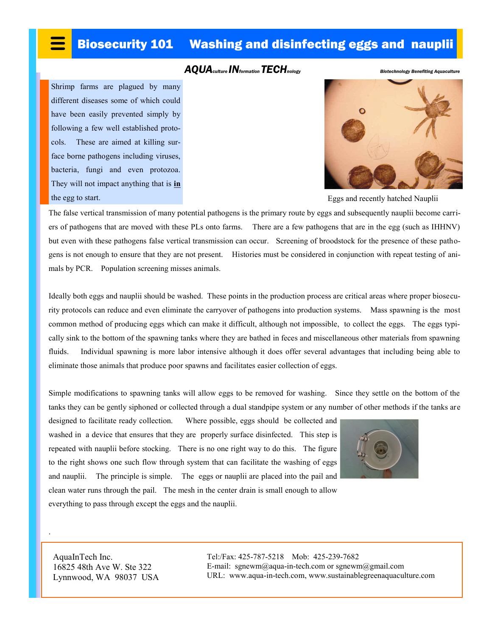## Biosecurity 101 Washing and disinfecting eggs and nauplii

## *AQUAculture INformation TECHnology Biotechnology Benefiting Aquaculture*

Shrimp farms are plagued by many different diseases some of which could have been easily prevented simply by following a few well established protocols. These are aimed at killing surface borne pathogens including viruses, bacteria, fungi and even protozoa. They will not impact anything that is **in** the egg to start.



Eggs and recently hatched Nauplii

The false vertical transmission of many potential pathogens is the primary route by eggs and subsequently nauplii become carriers of pathogens that are moved with these PLs onto farms. There are a few pathogens that are in the egg (such as IHHNV) but even with these pathogens false vertical transmission can occur. Screening of broodstock for the presence of these pathogens is not enough to ensure that they are not present. Histories must be considered in conjunction with repeat testing of animals by PCR. Population screening misses animals.

Ideally both eggs and nauplii should be washed. These points in the production process are critical areas where proper biosecurity protocols can reduce and even eliminate the carryover of pathogens into production systems. Mass spawning is the most common method of producing eggs which can make it difficult, although not impossible, to collect the eggs. The eggs typically sink to the bottom of the spawning tanks where they are bathed in feces and miscellaneous other materials from spawning fluids. Individual spawning is more labor intensive although it does offer several advantages that including being able to eliminate those animals that produce poor spawns and facilitates easier collection of eggs.

Simple modifications to spawning tanks will allow eggs to be removed for washing. Since they settle on the bottom of the tanks they can be gently siphoned or collected through a dual standpipe system or any number of other methods if the tanks are

designed to facilitate ready collection. Where possible, eggs should be collected and washed in a device that ensures that they are properly surface disinfected. This step is repeated with nauplii before stocking. There is no one right way to do this. The figure to the right shows one such flow through system that can facilitate the washing of eggs and nauplii. The principle is simple. The eggs or nauplii are placed into the pail and clean water runs through the pail. The mesh in the center drain is small enough to allow everything to pass through except the eggs and the nauplii.



AquaInTech Inc. 16825 48th Ave W. Ste 322 Lynnwood, WA 98037 USA

.

Tel:/Fax: 425-787-5218 Mob: 425-239-7682 E-mail: sgnewm@aqua-in-tech.com or sgnewm@gmail.com URL: www.aqua-in-tech.com, www.sustainablegreenaquaculture.com